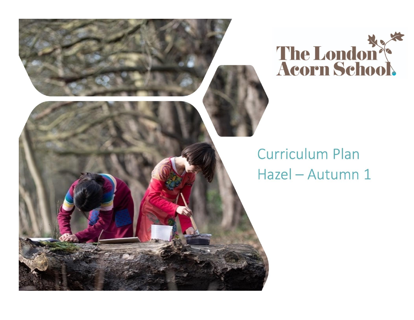

## **Curriculum Plan** Hazel - Autumn 1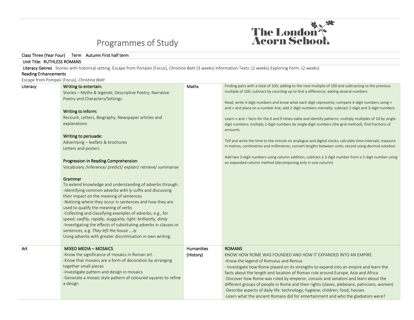

## Programmes of Study

## Class Three (Year Four) Term Autumn First half term Unit Title: RUTHLESS ROMANS Literacy Genres Stories with historical setting: Escape from Pompeii [Focus], *Christina Balit* (3 weeks) Information Texts: (2 weeks) Exploring Form: (2 weeks) Reading Enhancements Escape from Pompeii [Focus], *Christina Balit* Literacy **Writing to entertain:** Stories – Myths & legends; Descriptive Poetry; Narrative Poetry and Characters/Settings Writing to inform: Recount, Letters, Biography, Newspaper articles and explanations Writing to persuade: Advertising – leaflets & brochures Letters and posters Progression in Reading Comprehension Vocabulary /Inference/ predict/ explain/ retrieve/ summarise Grammar To extend knowledge and understanding of adverbs through: -Identifying common adverbs with *ly* suffix and discussing their impact on the meaning of sentences -Noticing where they occur in sentences and how they are used to qualify the meaning of verbs -Collecting and classifying examples of adverbs, e.g., for speed: *swiftly, rapidly, sluggishly; light: brilliantly, dimly* -Investigating the effects of substituting adverbs in clauses or sentences, e.g. *They left the house ….ly* Using adverbs with greater discrimination in own writing. Maths Finding pairs with a total of 100; adding to the next multiple of 100 and subtracting to the previous multiple of 100; subtract by counting up to find a difference; adding several numbers Read, write 4-digit numbers and know what each digit represents; compare 4-digit numbers using < and > and place on a number line; add 2-digit numbers mentally; subtract 2-digit and 3-digit numbers Learn × and ÷ facts for the 6 and 9 times-table and identify patterns; multiply multiples of 10 by singledigit numbers; multiply 2-digit numbers by single-digit numbers (the grid method); find fractions of amounts Tell and write the time to the minute on analogue and digital clocks; calculate time intervals; measure in metres, centimetres and millimetres; convert lengths between units; record using decimal notation Add two 3-digit numbers using column addition; subtract a 3-digit number from a 3-digit number using an expanded column method (decomposing only in one column) Art MIXED MEDIA – MOSAICS -Know the significance of mosaics in Roman art. -Know that mosaics are a form of decoration by arranging together small pieces -Investigate pattern and design in mosaics -Generate a mosaic style pattern of coloured squares to refine a design **Humanities** (History) ROMANS KNOW HOW ROME WAS FOUNDED AND HOW IT EXPANDED INTO AN EMPIRE. -Know the legend of Romulus and Remus - Investigate how Rome played on its strengths to expand into an empire and learn the facts about the length and location of Roman rule around Europe, Asia and Africa -Discover how Rome was ruled by emperor, consuls and senators and learn about the different groups of people in Rome and their rights (slaves, plebeians, patricians, women) -Describe aspects of daily life: technology; hygiene; children; food; houses -Learn what the ancient Romans did for entertainment and who the gladiators were?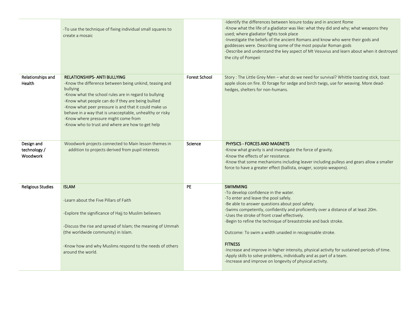|                                        | -To use the technique of fixing individual small squares to<br>create a mosaic                                                                                                                                                                                                                                                                                                                                                            |                      | -Identify the differences between leisure today and in ancient Rome<br>-Know what the life of a gladiator was like: what they did and why; what weapons they<br>used; where gladiator fights took place<br>-Investigate the beliefs of the ancient Romans and know who were their gods and<br>goddesses were. Describing some of the most popular Roman gods<br>-Describe and understand the key aspect of Mt Vesuvius and learn about when it destroyed<br>the city of Pompeii                                                                                                                                                                                             |
|----------------------------------------|-------------------------------------------------------------------------------------------------------------------------------------------------------------------------------------------------------------------------------------------------------------------------------------------------------------------------------------------------------------------------------------------------------------------------------------------|----------------------|-----------------------------------------------------------------------------------------------------------------------------------------------------------------------------------------------------------------------------------------------------------------------------------------------------------------------------------------------------------------------------------------------------------------------------------------------------------------------------------------------------------------------------------------------------------------------------------------------------------------------------------------------------------------------------|
| Relationships and<br>Health            | <b>RELATIONSHIPS- ANTI BULLYING</b><br>-Know the difference between being unkind, teasing and<br>bullying<br>-Know what the school rules are in regard to bullying<br>-Know what people can do if they are being bullied<br>-Know what peer pressure is and that it could make us<br>behave in a way that is unacceptable, unhealthy or risky<br>-Know where pressure might come from<br>-Know who to trust and where are how to get help | <b>Forest School</b> | Story : The Little Grey Men - what do we need for survival? Whittle toasting stick, toast<br>apple slices on fire. ID forage for sedge and birch twigs, use for weaving. More dead-<br>hedges, shelters for non-humans.                                                                                                                                                                                                                                                                                                                                                                                                                                                     |
| Design and<br>technology /<br>Woodwork | Woodwork projects connected to Main lesson themes in<br>addition to projects derived from pupil interests                                                                                                                                                                                                                                                                                                                                 | Science              | PHYSICS - FORCES AND MAGNETS<br>-Know what gravity is and investigate the force of gravity.<br>-Know the effects of air resistance.<br>-Know that some mechanisms including leaver including pulleys and gears allow a smaller<br>force to have a greater effect (ballista, onager, scorpio weapons).                                                                                                                                                                                                                                                                                                                                                                       |
| <b>Religious Studies</b>               | <b>ISLAM</b><br>-Learn about the Five Pillars of Faith<br>-Explore the significance of Hajj to Muslim believers<br>-Discuss the rise and spread of Islam; the meaning of Ummah<br>(the worldwide community) in Islam.<br>-Know how and why Muslims respond to the needs of others<br>around the world.                                                                                                                                    | PE.                  | <b>SWIMMING</b><br>-To develop confidence in the water.<br>-To enter and leave the pool safely.<br>-Be able to answer questions about pool safety.<br>-Swims competently, confidently and proficiently over a distance of at least 20m.<br>-Uses the stroke of front crawl effectively.<br>-Begin to refine the technique of breaststroke and back stroke.<br>Outcome: To swim a width unaided in recognisable stroke.<br><b>FITNESS</b><br>-Increase and improve in higher intensity, physical activity for sustained periods of time.<br>-Apply skills to solve problems, individually and as part of a team.<br>-Increase and improve on longevity of physical activity. |